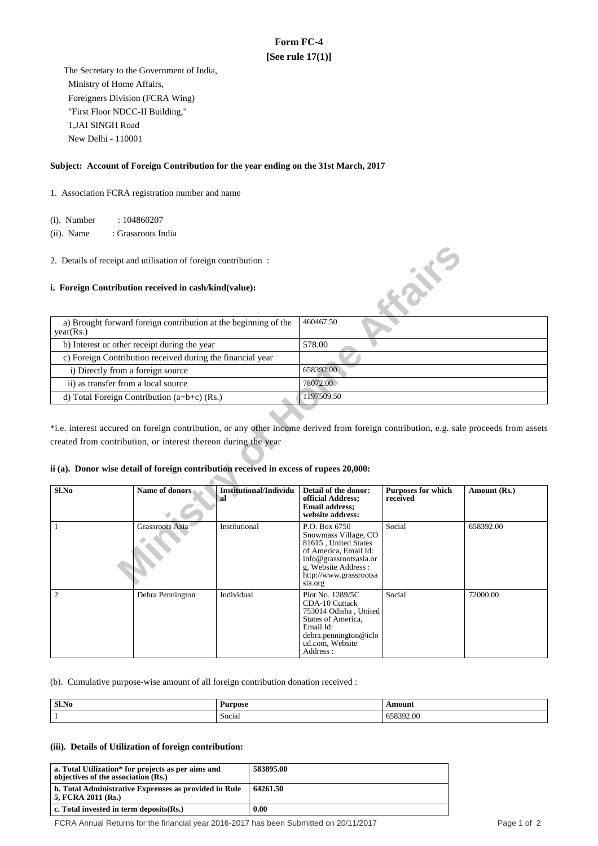# **Form FC-4 [See rule 17(1)]**

 The Secretary to the Government of India, Ministry of Home Affairs, Foreigners Division (FCRA Wing) "First Floor NDCC-II Building," 1,JAI SINGH Road New Delhi - 110001

### **Subject: Account of Foreign Contribution for the year ending on the 31st March, 2017**

1. Association FCRA registration number and name

(i). Number : 104860207

 (ii). Name : Grassroots India

#### **i. Foreign Contribution received in cash/kind(value):**

| a) Brought forward foreign contribution at the beginning of the<br>year(Rs.) | 460467.50  |
|------------------------------------------------------------------------------|------------|
| b) Interest or other receipt during the year                                 | 578.00     |
| c) Foreign Contribution received during the financial year                   |            |
| i) Directly from a foreign source                                            | 658392.00  |
| ii) as transfer from a local source                                          | 78072.00   |
| d) Total Foreign Contribution $(a+b+c)$ (Rs.)                                | 1197509.50 |

### **ii (a). Donor wise detail of foreign contribution received in excess of rupees 20,000:**

| 2. Details of receipt and utilisation of foreign contribution: |                                                                                                                                                                            |                               |                                                                                                                                                                              | <b>KONE</b>               |              |
|----------------------------------------------------------------|----------------------------------------------------------------------------------------------------------------------------------------------------------------------------|-------------------------------|------------------------------------------------------------------------------------------------------------------------------------------------------------------------------|---------------------------|--------------|
|                                                                | i. Foreign Contribution received in cash/kind(value):                                                                                                                      |                               |                                                                                                                                                                              |                           |              |
| year(Rs.)                                                      | a) Brought forward foreign contribution at the beginning of the                                                                                                            |                               | 460467.50                                                                                                                                                                    |                           |              |
|                                                                | b) Interest or other receipt during the year                                                                                                                               |                               | 578.00                                                                                                                                                                       |                           |              |
|                                                                | c) Foreign Contribution received during the financial year                                                                                                                 |                               |                                                                                                                                                                              |                           |              |
| i) Directly from a foreign source                              |                                                                                                                                                                            |                               | 658392.00                                                                                                                                                                    |                           |              |
|                                                                | ii) as transfer from a local source                                                                                                                                        |                               |                                                                                                                                                                              |                           |              |
|                                                                | d) Total Foreign Contribution (a+b+c) (Rs.)                                                                                                                                |                               | 1197509.50                                                                                                                                                                   |                           |              |
| Sl.No                                                          | created from contribution, or interest thereon during the year<br>ii (a). Donor wise detail of foreign contribution received in excess of rupees 20,000:<br>Name of donors | <b>Institutional/Individu</b> | Detail of the donor:                                                                                                                                                         | <b>Purposes for which</b> | Amount (Rs.) |
|                                                                |                                                                                                                                                                            | al                            | official Address;<br><b>Email address:</b><br>website address:                                                                                                               | received                  |              |
| 1                                                              | Grassroots Asia                                                                                                                                                            | Institutional                 | P.O. Box 6750<br>Snowmass Village, CO<br>81615, United States<br>of America, Email Id:<br>info@grassrootsasia.or<br>g, Website Address:<br>http://www.grassrootsa<br>sia.org | Social                    | 658392.00    |
| $\overline{2}$                                                 | Debra Pennington                                                                                                                                                           | Individual                    | Plot No. 1289/5C<br>CDA-10 Cuttack<br>753014 Odisha, United<br>States of America,<br>Email Id:<br>debra.pennington@iclo<br>ud.com. Website<br>Address :                      | Social                    | 72000.00     |

(b). Cumulative purpose-wise amount of all foreign contribution donation received :

| Sl.No | Purpose<br>----<br>$\sim$ | \mount     |
|-------|---------------------------|------------|
|       | $\sim$<br>Social          | 10<br>Z.UU |

#### **(iii). Details of Utilization of foreign contribution:**

| a. Total Utilization* for projects as per aims and<br>objectives of the association (Rs.) | 583895.00 |
|-------------------------------------------------------------------------------------------|-----------|
| b. Total Administrative Exprenses as provided in Rule<br>5. FCRA 2011 (Rs.)               | 64261.50  |
| c. Total invested in term deposits $(Rs.)$                                                | 0.00      |

FCRA Annual Returns for the financial year 2016-2017 has been Submitted on 20/11/2017